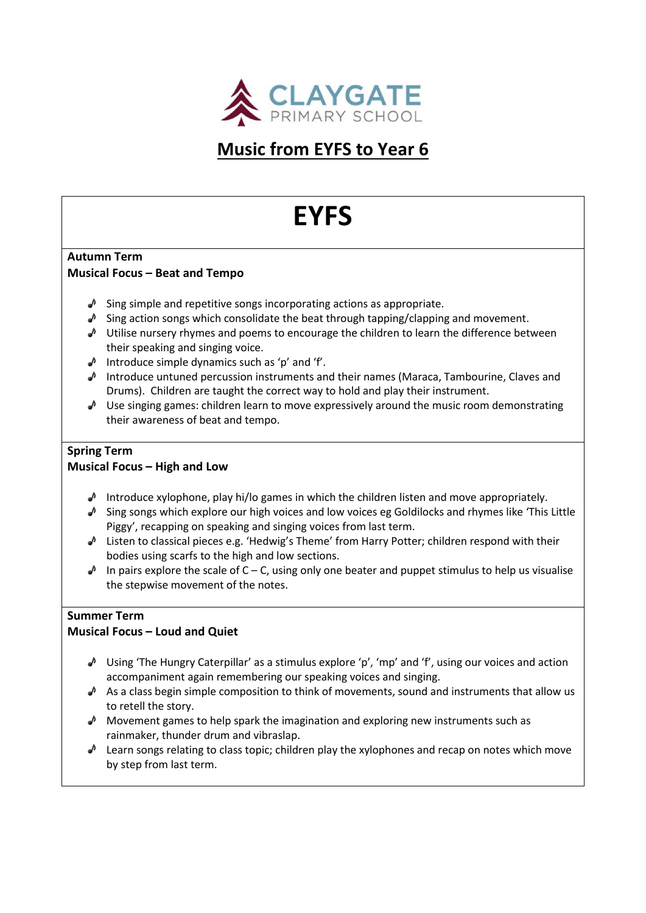

# **Music from EYFS to Year 6**

# **EYFS**

#### **Autumn Term Musical Focus – Beat and Tempo**

- $\triangle$  Sing simple and repetitive songs incorporating actions as appropriate.
- $\triangle$  Sing action songs which consolidate the beat through tapping/clapping and movement.
- $\sqrt{ }$  Utilise nursery rhymes and poems to encourage the children to learn the difference between their speaking and singing voice.
- $\triangle$  Introduce simple dynamics such as 'p' and 'f'.
- $\sqrt{ }$  Introduce untuned percussion instruments and their names (Maraca, Tambourine, Claves and Drums). Children are taught the correct way to hold and play their instrument.
- $\triangle$  Use singing games: children learn to move expressively around the music room demonstrating their awareness of beat and tempo.

# **Spring Term**

#### **Musical Focus – High and Low**

- Introduce xylophone, play hi/lo games in which the children listen and move appropriately.
- $\triangle$  Sing songs which explore our high voices and low voices eg Goldilocks and rhymes like 'This Little Piggy', recapping on speaking and singing voices from last term.
- Listen to classical pieces e.g. 'Hedwig's Theme' from Harry Potter; children respond with their bodies using scarfs to the high and low sections.
- $\triangle$  In pairs explore the scale of C C, using only one beater and puppet stimulus to help us visualise the stepwise movement of the notes.

# **Summer Term**

# **Musical Focus – Loud and Quiet**

- $\triangle$  Using 'The Hungry Caterpillar' as a stimulus explore 'p', 'mp' and 'f', using our voices and action accompaniment again remembering our speaking voices and singing.
- As a class begin simple composition to think of movements, sound and instruments that allow us to retell the story.
- $\triangle$  Movement games to help spark the imagination and exploring new instruments such as rainmaker, thunder drum and vibraslap.
- $\triangle$  Learn songs relating to class topic; children play the xylophones and recap on notes which move by step from last term.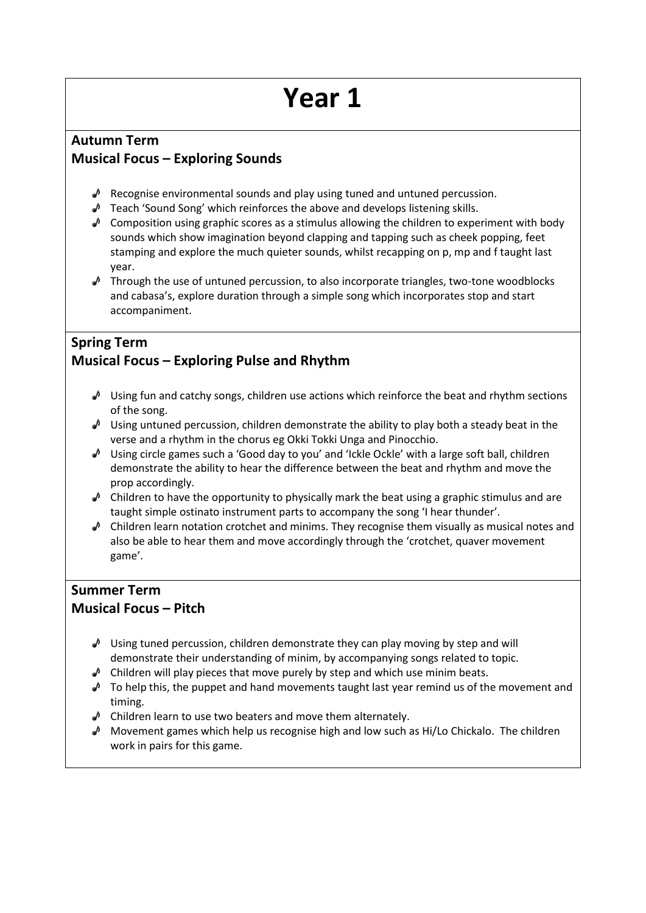# **Autumn Term Musical Focus – Exploring Sounds**

- $\triangle$  Recognise environmental sounds and play using tuned and untuned percussion.
- $\triangle$  Teach 'Sound Song' which reinforces the above and develops listening skills.
- $\triangle$  Composition using graphic scores as a stimulus allowing the children to experiment with body sounds which show imagination beyond clapping and tapping such as cheek popping, feet stamping and explore the much quieter sounds, whilst recapping on p, mp and f taught last year.
- $\sqrt{ }$  Through the use of untuned percussion, to also incorporate triangles, two-tone woodblocks and cabasa's, explore duration through a simple song which incorporates stop and start accompaniment.

# **Spring Term Musical Focus – Exploring Pulse and Rhythm**

- $\triangle$  Using fun and catchy songs, children use actions which reinforce the beat and rhythm sections of the song.
- Using untuned percussion, children demonstrate the ability to play both a steady beat in the verse and a rhythm in the chorus eg Okki Tokki Unga and Pinocchio.
- $\triangle$  Using circle games such a 'Good day to you' and 'Ickle Ockle' with a large soft ball, children demonstrate the ability to hear the difference between the beat and rhythm and move the prop accordingly.
- $\triangle$  Children to have the opportunity to physically mark the beat using a graphic stimulus and are taught simple ostinato instrument parts to accompany the song 'I hear thunder'.
- $\triangle$  Children learn notation crotchet and minims. They recognise them visually as musical notes and also be able to hear them and move accordingly through the 'crotchet, quaver movement game'.

# **Summer Term Musical Focus – Pitch**

- $\triangle^0$  Using tuned percussion, children demonstrate they can play moving by step and will demonstrate their understanding of minim, by accompanying songs related to topic.
- $\triangle$  Children will play pieces that move purely by step and which use minim beats.
- $\triangle$  To help this, the puppet and hand movements taught last year remind us of the movement and timing.
- $\sqrt{\phantom{a}}$  Children learn to use two beaters and move them alternately.
- $\triangle$  Movement games which help us recognise high and low such as Hi/Lo Chickalo. The children work in pairs for this game.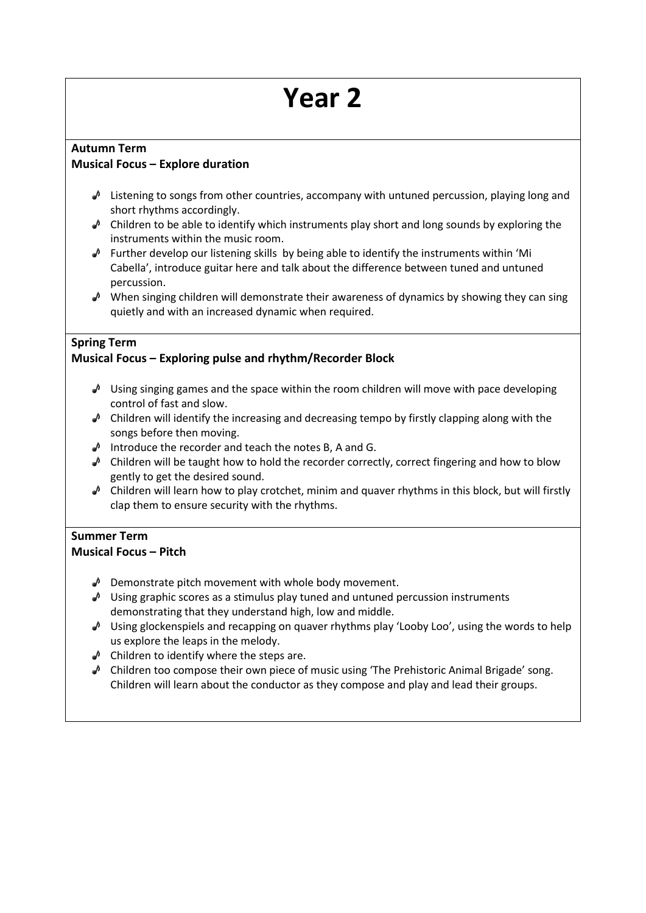#### **Autumn Term Musical Focus – Explore duration**

- $\triangle$  Listening to songs from other countries, accompany with untuned percussion, playing long and short rhythms accordingly.
- $\triangle$  Children to be able to identify which instruments play short and long sounds by exploring the instruments within the music room.
- $\triangle$  Further develop our listening skills by being able to identify the instruments within 'Mi Cabella', introduce guitar here and talk about the difference between tuned and untuned percussion.
- $\triangle$  When singing children will demonstrate their awareness of dynamics by showing they can sing quietly and with an increased dynamic when required.

### **Spring Term**

# **Musical Focus – Exploring pulse and rhythm/Recorder Block**

- $\triangle$  Using singing games and the space within the room children will move with pace developing control of fast and slow.
- $\triangle$  Children will identify the increasing and decreasing tempo by firstly clapping along with the songs before then moving.
- Introduce the recorder and teach the notes B, A and G.
- $\triangle$  Children will be taught how to hold the recorder correctly, correct fingering and how to blow gently to get the desired sound.
- $\triangle$  Children will learn how to play crotchet, minim and quaver rhythms in this block, but will firstly clap them to ensure security with the rhythms.

# **Summer Term**

#### **Musical Focus – Pitch**

- $\triangle$  Demonstrate pitch movement with whole body movement.
- $\sqrt{ }$  Using graphic scores as a stimulus play tuned and untuned percussion instruments demonstrating that they understand high, low and middle.
- $\sqrt{ }$  Using glockenspiels and recapping on quaver rhythms play 'Looby Loo', using the words to help us explore the leaps in the melody.
- $\triangle$  Children to identify where the steps are.
- $\triangle$  Children too compose their own piece of music using 'The Prehistoric Animal Brigade' song. Children will learn about the conductor as they compose and play and lead their groups.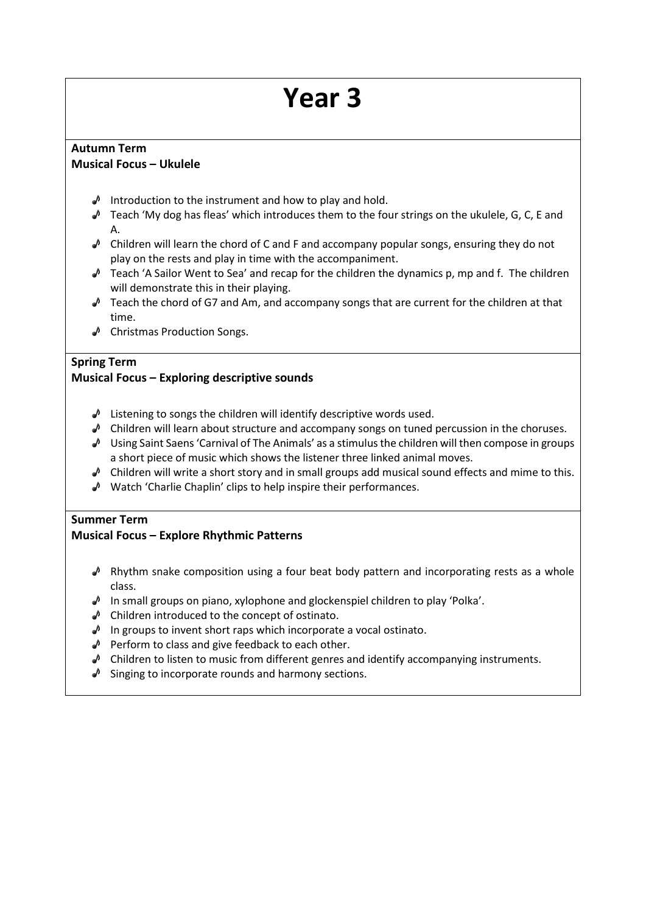#### **Autumn Term Musical Focus – Ukulele**

- $\sqrt{\phantom{a}}$  Introduction to the instrument and how to play and hold.
- $\triangle$  Teach 'My dog has fleas' which introduces them to the four strings on the ukulele, G, C, E and A.
- $\triangle$  Children will learn the chord of C and F and accompany popular songs, ensuring they do not play on the rests and play in time with the accompaniment.
- Teach 'A Sailor Went to Sea' and recap for the children the dynamics p, mp and f. The children will demonstrate this in their playing.
- $\sqrt{ }$  Teach the chord of G7 and Am, and accompany songs that are current for the children at that time.
- ◆ Christmas Production Songs.

### **Spring Term**

#### **Musical Focus – Exploring descriptive sounds**

- $\sqrt{\phantom{a}}$  Listening to songs the children will identify descriptive words used.
- $\triangle$  Children will learn about structure and accompany songs on tuned percussion in the choruses.
- Using Saint Saens 'Carnival of The Animals' as a stimulus the children will then compose in groups a short piece of music which shows the listener three linked animal moves.
- $\triangle$  Children will write a short story and in small groups add musical sound effects and mime to this.
- $\sqrt{ }$  Watch 'Charlie Chaplin' clips to help inspire their performances.

#### **Summer Term**

# **Musical Focus – Explore Rhythmic Patterns**

- $\sqrt{ }$  Rhythm snake composition using a four beat body pattern and incorporating rests as a whole class.
- $\triangle$  In small groups on piano, xylophone and glockenspiel children to play 'Polka'.
- $\triangle$  Children introduced to the concept of ostinato.
- $\sqrt{ }$  In groups to invent short raps which incorporate a vocal ostinato.
- $\triangle$  Perform to class and give feedback to each other.
- $\triangle$  Children to listen to music from different genres and identify accompanying instruments.
- $\triangle$  Singing to incorporate rounds and harmony sections.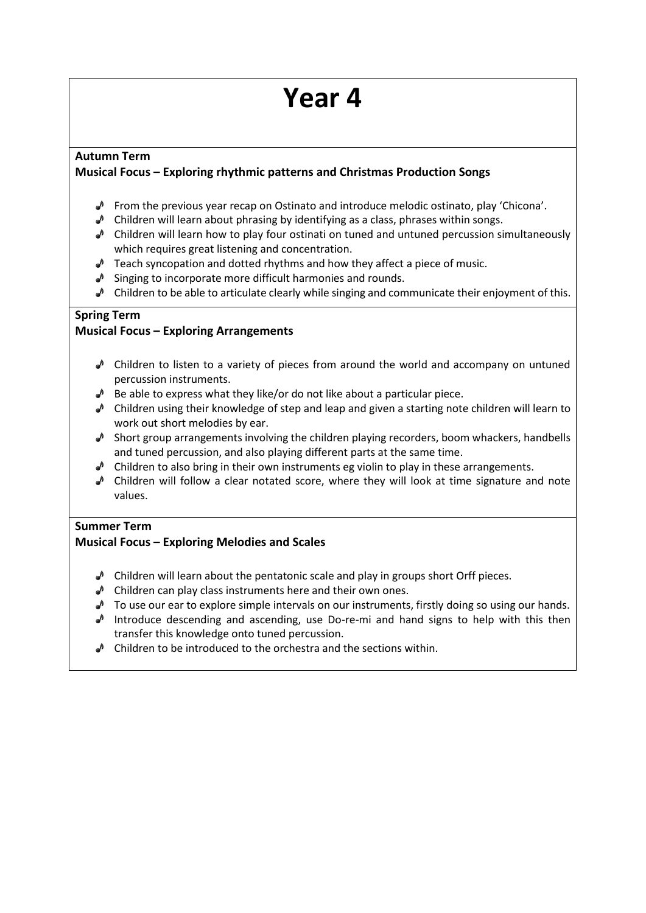# **Autumn Term**

# **Musical Focus – Exploring rhythmic patterns and Christmas Production Songs**

- From the previous year recap on Ostinato and introduce melodic ostinato, play 'Chicona'.
- $\triangle$  Children will learn about phrasing by identifying as a class, phrases within songs.
- $\triangle$  Children will learn how to play four ostinati on tuned and untuned percussion simultaneously which requires great listening and concentration.
- $\triangle$  Teach syncopation and dotted rhythms and how they affect a piece of music.
- $\triangle$  Singing to incorporate more difficult harmonies and rounds.
- $\triangle$  Children to be able to articulate clearly while singing and communicate their enjoyment of this.

### **Spring Term**

# **Musical Focus – Exploring Arrangements**

- $\triangle$  Children to listen to a variety of pieces from around the world and accompany on untuned percussion instruments.
- $\triangle$  Be able to express what they like/or do not like about a particular piece.
- $\triangle$  Children using their knowledge of step and leap and given a starting note children will learn to work out short melodies by ear.
- $\triangle$  Short group arrangements involving the children playing recorders, boom whackers, handbells and tuned percussion, and also playing different parts at the same time.
- $\triangle$  Children to also bring in their own instruments eg violin to play in these arrangements.
- Children will follow a clear notated score, where they will look at time signature and note values.

#### **Summer Term**

# **Musical Focus – Exploring Melodies and Scales**

- $\triangle$  Children will learn about the pentatonic scale and play in groups short Orff pieces.
- $\triangle$  Children can play class instruments here and their own ones.
- $\triangle$  To use our ear to explore simple intervals on our instruments, firstly doing so using our hands.
- $\sqrt{ }$  Introduce descending and ascending, use Do-re-mi and hand signs to help with this then transfer this knowledge onto tuned percussion.
- $\triangle$  Children to be introduced to the orchestra and the sections within.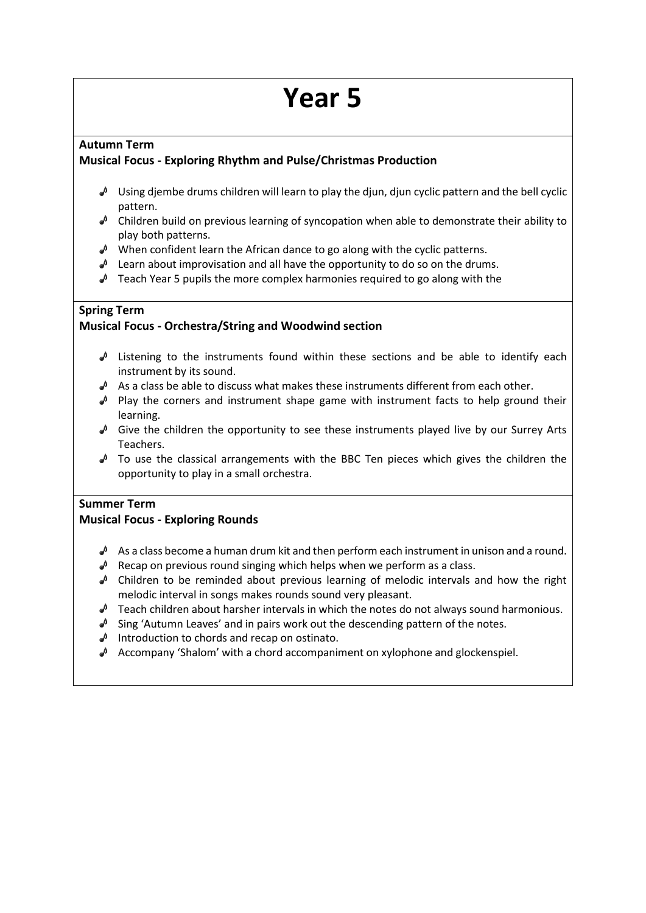#### **Autumn Term**

### **Musical Focus - Exploring Rhythm and Pulse/Christmas Production**

- $\triangle$  Using djembe drums children will learn to play the djun, djun cyclic pattern and the bell cyclic pattern.
- $\triangle$  Children build on previous learning of syncopation when able to demonstrate their ability to play both patterns.
- $\blacklozenge$  When confident learn the African dance to go along with the cyclic patterns.
- $\triangle$  Learn about improvisation and all have the opportunity to do so on the drums.
- $\triangle$  Teach Year 5 pupils the more complex harmonies required to go along with the

#### **Spring Term**

### **Musical Focus - Orchestra/String and Woodwind section**

- $\triangle$  Listening to the instruments found within these sections and be able to identify each instrument by its sound.
- $\triangle$  As a class be able to discuss what makes these instruments different from each other.
- $\blacktriangleright$  Play the corners and instrument shape game with instrument facts to help ground their learning.
- $\triangle$  Give the children the opportunity to see these instruments played live by our Surrey Arts Teachers.
- $\triangle$  To use the classical arrangements with the BBC Ten pieces which gives the children the opportunity to play in a small orchestra.

# **Summer Term**

# **Musical Focus - Exploring Rounds**

- $\triangle$  As a class become a human drum kit and then perform each instrument in unison and a round.
- $\triangle$  Recap on previous round singing which helps when we perform as a class.
- $\triangle$  Children to be reminded about previous learning of melodic intervals and how the right melodic interval in songs makes rounds sound very pleasant.
- $\triangle$  Teach children about harsher intervals in which the notes do not always sound harmonious.
- $\triangle$  Sing 'Autumn Leaves' and in pairs work out the descending pattern of the notes.
- $\triangle$  Introduction to chords and recap on ostinato.
- $\triangle$  Accompany 'Shalom' with a chord accompaniment on xylophone and glockenspiel.